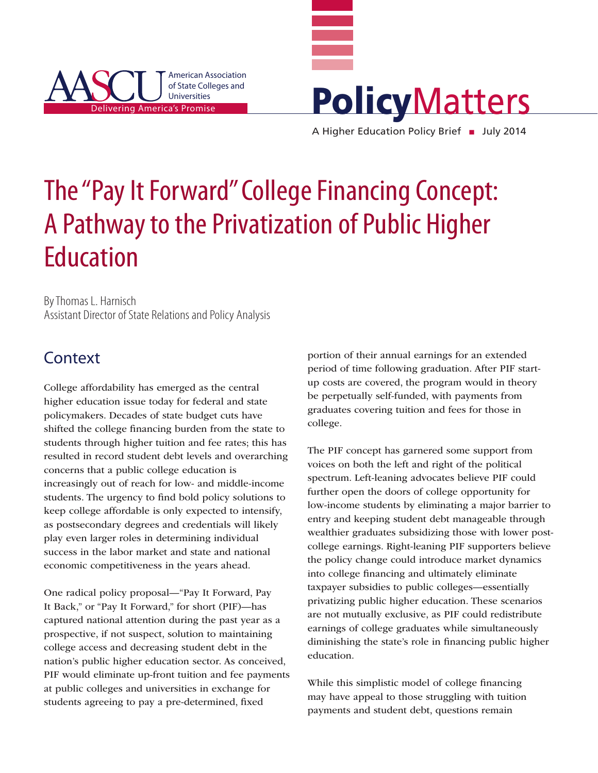



The "Pay It Forward" College Financing Concept: A Pathway to the Privatization of Public Higher Education

By Thomas L. Harnisch Assistant Director of State Relations and Policy Analysis

## **Context**

College affordability has emerged as the central higher education issue today for federal and state policymakers. Decades of state budget cuts have shifted the college financing burden from the state to students through higher tuition and fee rates; this has resulted in record student debt levels and overarching concerns that a public college education is increasingly out of reach for low- and middle-income students. The urgency to find bold policy solutions to keep college affordable is only expected to intensify, as postsecondary degrees and credentials will likely play even larger roles in determining individual success in the labor market and state and national economic competitiveness in the years ahead.

One radical policy proposal—"Pay It Forward, Pay It Back," or "Pay It Forward," for short (PIF)—has captured national attention during the past year as a prospective, if not suspect, solution to maintaining college access and decreasing student debt in the nation's public higher education sector. As conceived, PIF would eliminate up-front tuition and fee payments at public colleges and universities in exchange for students agreeing to pay a pre-determined, fixed

portion of their annual earnings for an extended period of time following graduation. After PIF startup costs are covered, the program would in theory be perpetually self-funded, with payments from graduates covering tuition and fees for those in college.

The PIF concept has garnered some support from voices on both the left and right of the political spectrum. Left-leaning advocates believe PIF could further open the doors of college opportunity for low-income students by eliminating a major barrier to entry and keeping student debt manageable through wealthier graduates subsidizing those with lower postcollege earnings. Right-leaning PIF supporters believe the policy change could introduce market dynamics into college financing and ultimately eliminate taxpayer subsidies to public colleges—essentially privatizing public higher education. These scenarios are not mutually exclusive, as PIF could redistribute earnings of college graduates while simultaneously diminishing the state's role in financing public higher education.

While this simplistic model of college financing may have appeal to those struggling with tuition payments and student debt, questions remain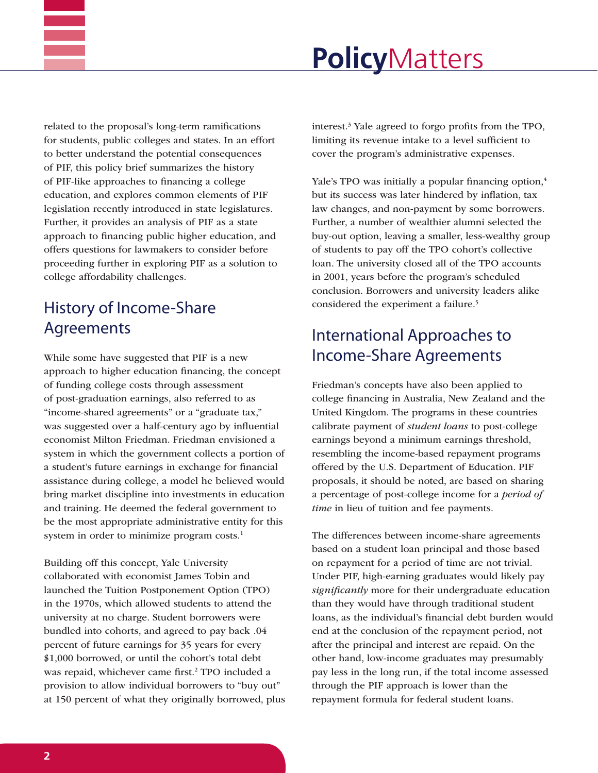

related to the proposal's long-term ramifications for students, public colleges and states. In an effort to better understand the potential consequences of PIF, this policy brief summarizes the history of PIF-like approaches to financing a college education, and explores common elements of PIF legislation recently introduced in state legislatures. Further, it provides an analysis of PIF as a state approach to financing public higher education, and offers questions for lawmakers to consider before proceeding further in exploring PIF as a solution to college affordability challenges.

## History of Income-Share Agreements

While some have suggested that PIF is a new approach to higher education financing, the concept of funding college costs through assessment of post-graduation earnings, also referred to as "income-shared agreements" or a "graduate tax," was suggested over a half-century ago by influential economist Milton Friedman. Friedman envisioned a system in which the government collects a portion of a student's future earnings in exchange for financial assistance during college, a model he believed would bring market discipline into investments in education and training. He deemed the federal government to be the most appropriate administrative entity for this system in order to minimize program costs.<sup>1</sup>

Building off this concept, Yale University collaborated with economist James Tobin and launched the Tuition Postponement Option (TPO) in the 1970s, which allowed students to attend the university at no charge. Student borrowers were bundled into cohorts, and agreed to pay back .04 percent of future earnings for 35 years for every \$1,000 borrowed, or until the cohort's total debt was repaid, whichever came first.<sup>2</sup> TPO included a provision to allow individual borrowers to "buy out" at 150 percent of what they originally borrowed, plus

interest.3 Yale agreed to forgo profits from the TPO, limiting its revenue intake to a level sufficient to cover the program's administrative expenses.

Yale's TPO was initially a popular financing option,<sup>4</sup> but its success was later hindered by inflation, tax law changes, and non-payment by some borrowers. Further, a number of wealthier alumni selected the buy-out option, leaving a smaller, less-wealthy group of students to pay off the TPO cohort's collective loan. The university closed all of the TPO accounts in 2001, years before the program's scheduled conclusion. Borrowers and university leaders alike considered the experiment a failure.<sup>5</sup>

## International Approaches to Income-Share Agreements

Friedman's concepts have also been applied to college financing in Australia, New Zealand and the United Kingdom. The programs in these countries calibrate payment of *student loans* to post-college earnings beyond a minimum earnings threshold, resembling the income-based repayment programs offered by the U.S. Department of Education. PIF proposals, it should be noted, are based on sharing a percentage of post-college income for a *period of time* in lieu of tuition and fee payments.

The differences between income-share agreements based on a student loan principal and those based on repayment for a period of time are not trivial. Under PIF, high-earning graduates would likely pay *significantly* more for their undergraduate education than they would have through traditional student loans, as the individual's financial debt burden would end at the conclusion of the repayment period, not after the principal and interest are repaid. On the other hand, low-income graduates may presumably pay less in the long run, if the total income assessed through the PIF approach is lower than the repayment formula for federal student loans.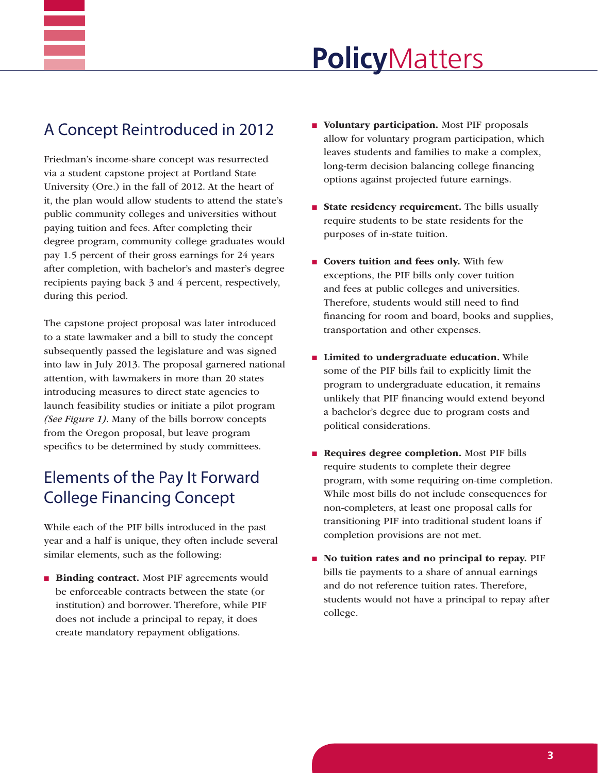## A Concept Reintroduced in 2012

Friedman's income-share concept was resurrected via a student capstone project at Portland State University (Ore.) in the fall of 2012. At the heart of it, the plan would allow students to attend the state's public community colleges and universities without paying tuition and fees. After completing their degree program, community college graduates would pay 1.5 percent of their gross earnings for 24 years after completion, with bachelor's and master's degree recipients paying back 3 and 4 percent, respectively, during this period.

The capstone project proposal was later introduced to a state lawmaker and a bill to study the concept subsequently passed the legislature and was signed into law in July 2013. The proposal garnered national attention, with lawmakers in more than 20 states introducing measures to direct state agencies to launch feasibility studies or initiate a pilot program *(See Figure 1)*. Many of the bills borrow concepts from the Oregon proposal, but leave program specifics to be determined by study committees.

## Elements of the Pay It Forward College Financing Concept

While each of the PIF bills introduced in the past year and a half is unique, they often include several similar elements, such as the following:

**n** Binding contract. Most PIF agreements would be enforceable contracts between the state (or institution) and borrower. Therefore, while PIF does not include a principal to repay, it does create mandatory repayment obligations.

- $\blacksquare$  Voluntary participation. Most PIF proposals allow for voluntary program participation, which leaves students and families to make a complex, long-term decision balancing college financing options against projected future earnings.
- **n** State residency requirement. The bills usually require students to be state residents for the purposes of in-state tuition.
- **n** Covers tuition and fees only. With few exceptions, the PIF bills only cover tuition and fees at public colleges and universities. Therefore, students would still need to find financing for room and board, books and supplies, transportation and other expenses.
- $\blacksquare$  Limited to undergraduate education. While some of the PIF bills fail to explicitly limit the program to undergraduate education, it remains unlikely that PIF financing would extend beyond a bachelor's degree due to program costs and political considerations.
- **Requires degree completion.** Most PIF bills require students to complete their degree program, with some requiring on-time completion. While most bills do not include consequences for non-completers, at least one proposal calls for transitioning PIF into traditional student loans if completion provisions are not met.
- n No tuition rates and no principal to repay. PIF bills tie payments to a share of annual earnings and do not reference tuition rates. Therefore, students would not have a principal to repay after college.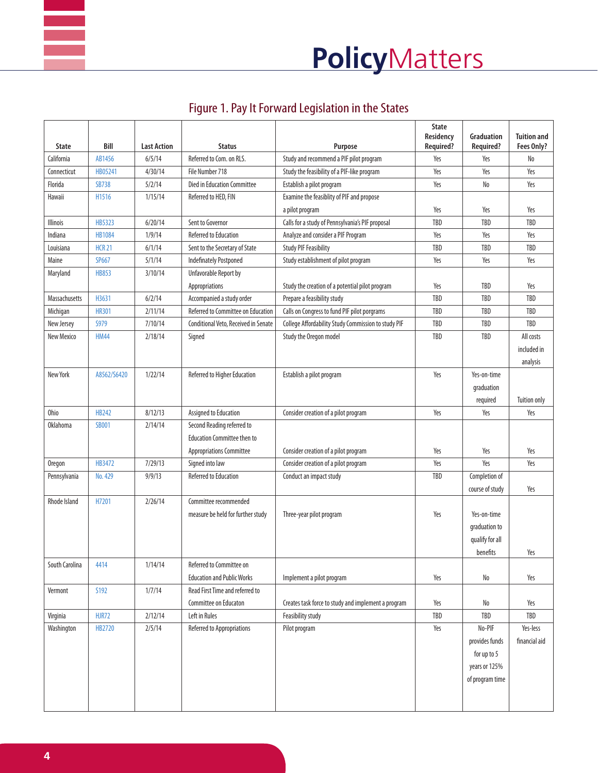

| <b>State</b>    | Bill          | <b>Last Action</b> | <b>Status</b>                                              | Purpose                                             | <b>State</b><br>Residency<br>Required? | Graduation<br>Required?                                     | <b>Tuition and</b><br>Fees Only? |
|-----------------|---------------|--------------------|------------------------------------------------------------|-----------------------------------------------------|----------------------------------------|-------------------------------------------------------------|----------------------------------|
| California      | AB1456        | 6/5/14             | Referred to Com. on RLS.                                   | Study and recommend a PIF pilot program             | Yes                                    | Yes                                                         | No                               |
| Connecticut     | HB05241       | 4/30/14            | File Number 718                                            | Study the feasibility of a PIF-like program         | Yes                                    | Yes                                                         | Yes                              |
| Florida         | <b>SB738</b>  | 5/2/14             | <b>Died in Education Committee</b>                         | Establish a pilot program                           | Yes                                    | No                                                          | Yes                              |
| Hawaii          | H1516         | 1/15/14            | Referred to HED, FIN                                       | Examine the feasiblity of PIF and propose           |                                        |                                                             |                                  |
|                 |               |                    |                                                            | a pilot program                                     | Yes                                    | Yes                                                         | Yes                              |
| <b>Illinois</b> | <b>HB5323</b> | 6/20/14            | Sent to Governor                                           | Calls for a study of Pennsylvania's PIF proposal    | <b>TBD</b>                             | <b>TBD</b>                                                  | <b>TBD</b>                       |
| Indiana         | <b>HB1084</b> | 1/9/14             | <b>Referred to Education</b>                               | Analyze and consider a PIF Program                  | Yes                                    | Yes                                                         | Yes                              |
| Louisiana       | <b>HCR 21</b> | 6/1/14             | Sent to the Secretary of State                             | <b>Study PIF Feasibility</b>                        | <b>TBD</b>                             | TBD                                                         | TBD                              |
| Maine           | <b>SP667</b>  | 5/1/14             | <b>Indefinately Postponed</b>                              | Study establishment of pilot program                | Yes                                    | Yes                                                         | Yes                              |
| Maryland        | <b>HB853</b>  | 3/10/14            | Unfavorable Report by                                      |                                                     |                                        |                                                             |                                  |
|                 |               |                    | Appropriations                                             | Study the creation of a potential pilot program     | Yes                                    | TBD                                                         | Yes                              |
| Massachusetts   | H3631         | 6/2/14             | Accompanied a study order                                  | Prepare a feasibility study                         | <b>TBD</b>                             | <b>TBD</b>                                                  | <b>TBD</b>                       |
| Michigan        | <b>HR301</b>  | 2/11/14            | Referred to Committee on Education                         | Calls on Congress to fund PIF pilot porgrams        | TBD                                    | TBD                                                         | TBD                              |
| New Jersey      | <b>S979</b>   | 7/10/14            | Conditional Veto, Received in Senate                       | College Affordability Study Commission to study PIF | <b>TBD</b>                             | TBD                                                         | TBD                              |
| New Mexico      | <b>HM44</b>   | 2/18/14            | Signed                                                     | Study the Oregon model                              | TBD                                    | TBD                                                         | All costs                        |
|                 |               |                    |                                                            |                                                     |                                        |                                                             | included in                      |
|                 |               |                    |                                                            |                                                     |                                        |                                                             | analysis                         |
| New York        | A8562/S6420   | 1/22/14            | Referred to Higher Education                               | Establish a pilot program                           | Yes                                    | Yes-on-time                                                 |                                  |
|                 |               |                    |                                                            |                                                     |                                        | qraduation                                                  |                                  |
|                 |               |                    |                                                            |                                                     |                                        | required                                                    | <b>Tuition only</b>              |
| Ohio            | <b>HB242</b>  | 8/12/13            | Assigned to Education                                      | Consider creation of a pilot program                | Yes                                    | Yes                                                         | Yes                              |
| <b>Oklahoma</b> | <b>SB001</b>  | 2/14/14            | Second Reading referred to                                 |                                                     |                                        |                                                             |                                  |
|                 |               |                    | <b>Education Committee then to</b>                         |                                                     |                                        |                                                             |                                  |
|                 |               |                    | <b>Appropriations Committee</b>                            | Consider creation of a pilot program                | Yes                                    | Yes                                                         | Yes                              |
| <b>Oregon</b>   | HB3472        | 7/29/13            | Signed into law                                            | Consider creation of a pilot program                | Yes                                    | Yes                                                         | Yes                              |
| Pennsylvania    | No. 429       | 9/9/13             | <b>Referred to Education</b>                               | Conduct an impact study                             | TBD                                    | Completion of                                               |                                  |
|                 |               |                    |                                                            |                                                     |                                        | course of study                                             | Yes                              |
| Rhode Island    | H7201         | 2/26/14            | Committee recommended<br>measure be held for further study | Three-year pilot program                            | Yes                                    | Yes-on-time<br>graduation to<br>qualify for all<br>benefits | Yes                              |
| South Carolina  | 4414          | 1/14/14            | Referred to Committee on                                   |                                                     |                                        |                                                             |                                  |
|                 |               |                    | <b>Education and Public Works</b>                          | Implement a pilot program                           | Yes                                    | No                                                          | Yes                              |
| Vermont         | S192          | 1/7/14             | Read First Time and referred to                            |                                                     |                                        |                                                             |                                  |
|                 |               |                    | Committee on Educaton                                      | Creates task force to study and implement a program | Yes                                    | No                                                          | Yes                              |
| Virginia        | <b>HJR72</b>  | 2/12/14            | Left in Rules                                              | Feasibility study                                   | TBD                                    | TBD                                                         | TBD                              |
| Washington      | HB2720        | 2/5/14             | Referred to Appropriations                                 | Pilot program                                       | Yes                                    | No-PIF                                                      | Yes-less                         |
|                 |               |                    |                                                            |                                                     |                                        | provides funds                                              | financial aid                    |
|                 |               |                    |                                                            |                                                     |                                        | for up to 5                                                 |                                  |
|                 |               |                    |                                                            |                                                     |                                        | years or 125%                                               |                                  |
|                 |               |                    |                                                            |                                                     |                                        | of program time                                             |                                  |
|                 |               |                    |                                                            |                                                     |                                        |                                                             |                                  |

## Figure 1. Pay It Forward Legislation in the States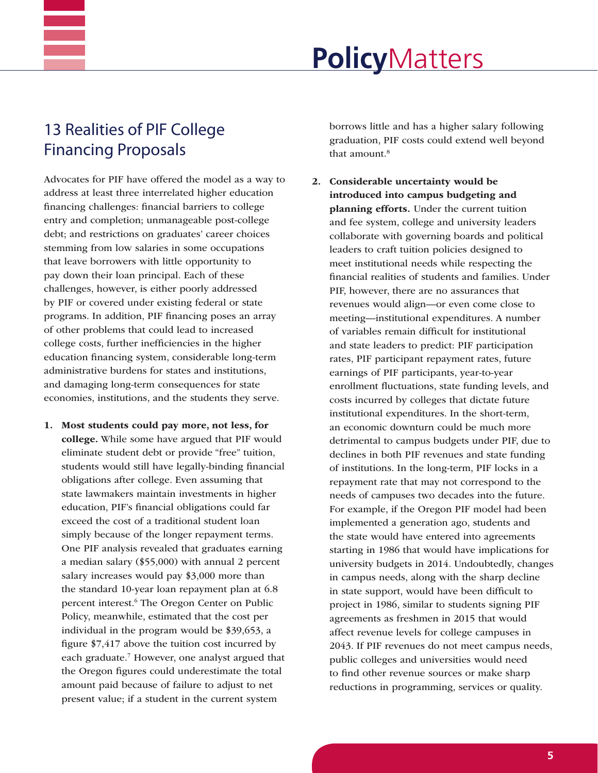## 13 Realities of PIF College Financing Proposals

Advocates for PIF have offered the model as a way to address at least three interrelated higher education financing challenges: financial barriers to college entry and completion; unmanageable post-college debt; and restrictions on graduates' career choices stemming from low salaries in some occupations that leave borrowers with little opportunity to pay down their loan principal. Each of these challenges, however, is either poorly addressed by PIF or covered under existing federal or state programs. In addition, PIF financing poses an array of other problems that could lead to increased college costs, further inefficiencies in the higher education financing system, considerable long-term administrative burdens for states and institutions, and damaging long-term consequences for state economies, institutions, and the students they serve.

1. Most students could pay more, not less, for college. While some have argued that PIF would eliminate student debt or provide "free" tuition, students would still have legally-binding financial obligations after college. Even assuming that state lawmakers maintain investments in higher education, PIF's financial obligations could far exceed the cost of a traditional student loan simply because of the longer repayment terms. One PIF analysis revealed that graduates earning a median salary (\$55,000) with annual 2 percent salary increases would pay \$3,000 more than the standard 10-year loan repayment plan at 6.8 percent interest.<sup>6</sup> The Oregon Center on Public Policy, meanwhile, estimated that the cost per individual in the program would be \$39,653, a figure \$7,417 above the tuition cost incurred by each graduate.<sup>7</sup> However, one analyst argued that the Oregon figures could underestimate the total amount paid because of failure to adjust to net present value; if a student in the current system

borrows little and has a higher salary following graduation, PIF costs could extend well beyond that amount.<sup>8</sup>

2. Considerable uncertainty would be introduced into campus budgeting and planning efforts. Under the current tuition and fee system, college and university leaders collaborate with governing boards and political leaders to craft tuition policies designed to meet institutional needs while respecting the financial realities of students and families. Under PIF, however, there are no assurances that revenues would align—or even come close to meeting—institutional expenditures. A number of variables remain difficult for institutional and state leaders to predict: PIF participation rates, PIF participant repayment rates, future earnings of PIF participants, year-to-year enrollment fluctuations, state funding levels, and costs incurred by colleges that dictate future institutional expenditures. In the short-term, an economic downturn could be much more detrimental to campus budgets under PIF, due to declines in both PIF revenues and state funding of institutions. In the long-term, PIF locks in a repayment rate that may not correspond to the needs of campuses two decades into the future. For example, if the Oregon PIF model had been implemented a generation ago, students and the state would have entered into agreements starting in 1986 that would have implications for university budgets in 2014. Undoubtedly, changes in campus needs, along with the sharp decline in state support, would have been difficult to project in 1986, similar to students signing PIF agreements as freshmen in 2015 that would affect revenue levels for college campuses in 2043. If PIF revenues do not meet campus needs, public colleges and universities would need to find other revenue sources or make sharp reductions in programming, services or quality.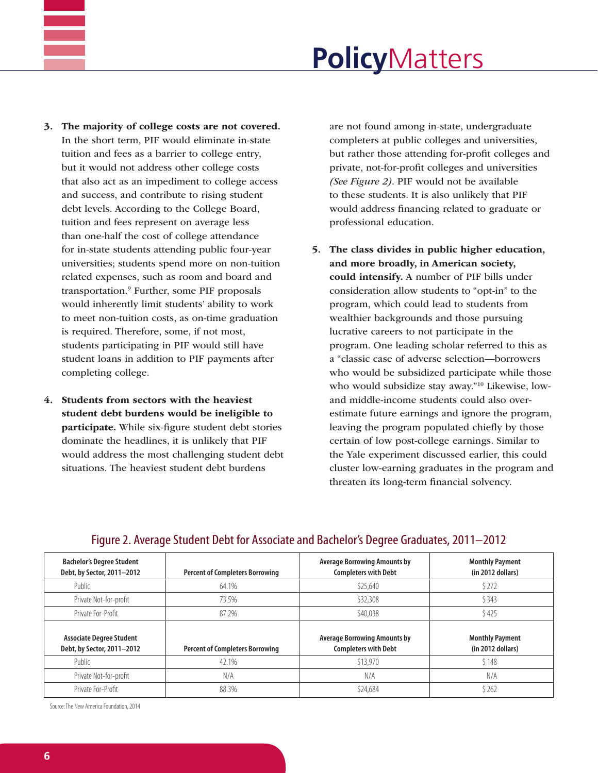

- 3. The majority of college costs are not covered. In the short term, PIF would eliminate in-state tuition and fees as a barrier to college entry, but it would not address other college costs that also act as an impediment to college access and success, and contribute to rising student debt levels. According to the College Board, tuition and fees represent on average less than one-half the cost of college attendance for in-state students attending public four-year universities; students spend more on non-tuition related expenses, such as room and board and transportation.9 Further, some PIF proposals would inherently limit students' ability to work to meet non-tuition costs, as on-time graduation is required. Therefore, some, if not most, students participating in PIF would still have student loans in addition to PIF payments after completing college.
- 4. Students from sectors with the heaviest student debt burdens would be ineligible to participate. While six-figure student debt stories dominate the headlines, it is unlikely that PIF would address the most challenging student debt situations. The heaviest student debt burdens

are not found among in-state, undergraduate completers at public colleges and universities, but rather those attending for-profit colleges and private, not-for-profit colleges and universities *(See Figure 2)*. PIF would not be available to these students. It is also unlikely that PIF would address financing related to graduate or professional education.

5. The class divides in public higher education, and more broadly, in American society, could intensify. A number of PIF bills under consideration allow students to "opt-in" to the program, which could lead to students from wealthier backgrounds and those pursuing lucrative careers to not participate in the program. One leading scholar referred to this as a "classic case of adverse selection—borrowers who would be subsidized participate while those who would subsidize stay away."10 Likewise, lowand middle-income students could also overestimate future earnings and ignore the program, leaving the program populated chiefly by those certain of low post-college earnings. Similar to the Yale experiment discussed earlier, this could cluster low-earning graduates in the program and threaten its long-term financial solvency.

| <b>Bachelor's Degree Student</b><br>Debt, by Sector, 2011-2012 | <b>Percent of Completers Borrowing</b> | <b>Average Borrowing Amounts by</b><br><b>Completers with Debt</b> | <b>Monthly Payment</b><br>(in 2012 dollars) |
|----------------------------------------------------------------|----------------------------------------|--------------------------------------------------------------------|---------------------------------------------|
| Public                                                         | 64.1%                                  | \$25,640                                                           | \$272                                       |
| Private Not-for-profit                                         | 73.5%                                  | \$32,308                                                           | \$343                                       |
| Private For-Profit                                             | 87.2%                                  | \$40,038                                                           | \$425                                       |
| <b>Associate Degree Student</b><br>Debt, by Sector, 2011-2012  | <b>Percent of Completers Borrowing</b> | <b>Average Borrowing Amounts by</b><br><b>Completers with Debt</b> | <b>Monthly Payment</b><br>(in 2012 dollars) |
| Public                                                         | 42.1%                                  | \$13,970                                                           | \$148                                       |
| Private Not-for-profit                                         | N/A                                    | N/A                                                                | N/A                                         |
| Private For-Profit                                             |                                        |                                                                    |                                             |

### Figure 2. Average Student Debt for Associate and Bachelor's Degree Graduates, 2011–2012

Source: The New America Foundation, 2014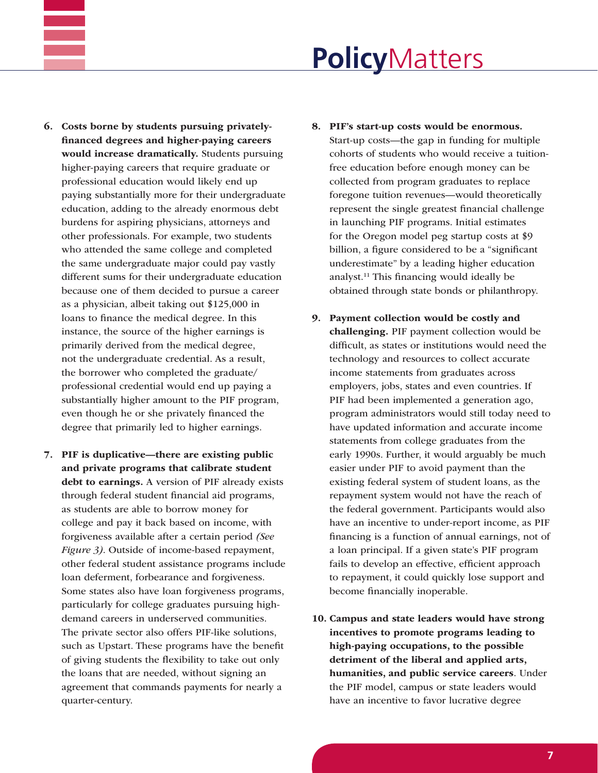

- 6. Costs borne by students pursuing privatelyfinanced degrees and higher-paying careers would increase dramatically. Students pursuing higher-paying careers that require graduate or professional education would likely end up paying substantially more for their undergraduate education, adding to the already enormous debt burdens for aspiring physicians, attorneys and other professionals. For example, two students who attended the same college and completed the same undergraduate major could pay vastly different sums for their undergraduate education because one of them decided to pursue a career as a physician, albeit taking out \$125,000 in loans to finance the medical degree. In this instance, the source of the higher earnings is primarily derived from the medical degree, not the undergraduate credential. As a result, the borrower who completed the graduate/ professional credential would end up paying a substantially higher amount to the PIF program, even though he or she privately financed the degree that primarily led to higher earnings.
- 7. PIF is duplicative—there are existing public and private programs that calibrate student debt to earnings. A version of PIF already exists through federal student financial aid programs, as students are able to borrow money for college and pay it back based on income, with forgiveness available after a certain period *(See Figure 3)*. Outside of income-based repayment, other federal student assistance programs include loan deferment, forbearance and forgiveness. Some states also have loan forgiveness programs, particularly for college graduates pursuing highdemand careers in underserved communities. The private sector also offers PIF-like solutions, such as Upstart. These programs have the benefit of giving students the flexibility to take out only the loans that are needed, without signing an agreement that commands payments for nearly a quarter-century.
- 8. PIF's start-up costs would be enormous. Start-up costs—the gap in funding for multiple cohorts of students who would receive a tuitionfree education before enough money can be collected from program graduates to replace foregone tuition revenues—would theoretically represent the single greatest financial challenge in launching PIF programs. Initial estimates for the Oregon model peg startup costs at \$9 billion, a figure considered to be a "significant underestimate" by a leading higher education analyst.11 This financing would ideally be obtained through state bonds or philanthropy.
- 9. Payment collection would be costly and challenging. PIF payment collection would be difficult, as states or institutions would need the technology and resources to collect accurate income statements from graduates across employers, jobs, states and even countries. If PIF had been implemented a generation ago, program administrators would still today need to have updated information and accurate income statements from college graduates from the early 1990s. Further, it would arguably be much easier under PIF to avoid payment than the existing federal system of student loans, as the repayment system would not have the reach of the federal government. Participants would also have an incentive to under-report income, as PIF financing is a function of annual earnings, not of a loan principal. If a given state's PIF program fails to develop an effective, efficient approach to repayment, it could quickly lose support and become financially inoperable.
- 10. Campus and state leaders would have strong incentives to promote programs leading to high-paying occupations, to the possible detriment of the liberal and applied arts, humanities, and public service careers. Under the PIF model, campus or state leaders would have an incentive to favor lucrative degree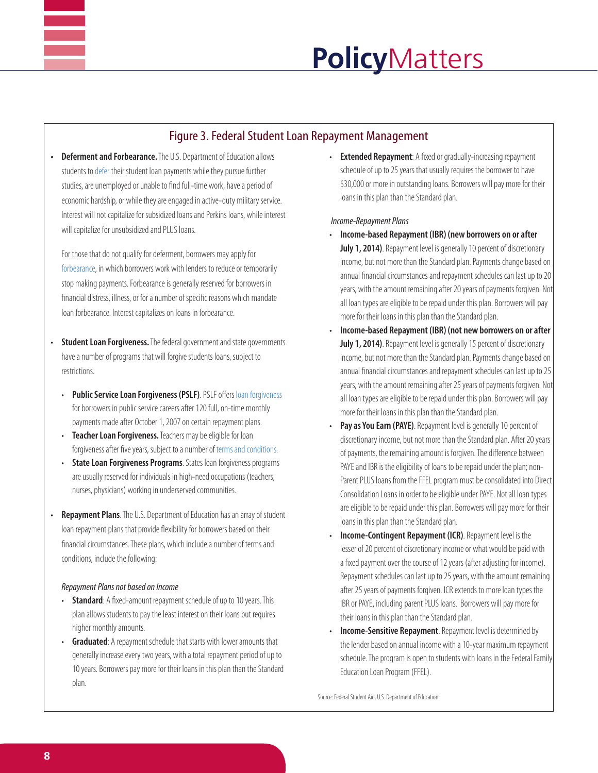

### Figure 3. Federal Student Loan Repayment Management

**• Deferment and Forbearance.** The U.S. Department of Education allows students to [defer](https://studentaid.ed.gov/repay-loans/deferment-forbearance) their student loan payments while they pursue further studies, are unemployed or unable to find full-time work, have a period of economic hardship, or while they are engaged in active-duty military service. Interest will not capitalize for subsidized loans and Perkins loans, while interest will capitalize for unsubsidized and PLUS loans.

For those that do not qualify for deferment, borrowers may apply for [forbearance](http://studentaid.ed.gov/repay-loans/deferment-forbearance#what-is-forbearance), in which borrowers work with lenders to reduce or temporarily stop making payments. Forbearance is generally reserved for borrowers in financial distress, illness, or for a number of specific reasons which mandate loan forbearance. Interest capitalizes on loans in forbearance.

- **Student Loan Forgiveness.** The federal government and state governments have a number of programs that will forgive students loans, subject to restrictions.
	- • **Public Service Loan Forgiveness (PSLF)**. PSLF offers [loan forgiveness](http://studentaid.ed.gov/repay-loans/forgiveness-cancellation/charts/public-service) for borrowers in public service careers after 120 full, on-time monthly payments made after October 1, 2007 on certain repayment plans.
	- **Teacher Loan Forgiveness.** Teachers may be eligible for loan forgiveness after five years, subject to a number of [terms and conditions.](http://studentaid.ed.gov/repay-loans/forgiveness-cancellation/charts/teacher#am-i-a-highly)
	- **State Loan Forgiveness Programs**. States loan forgiveness programs are usually reserved for individuals in high-need occupations (teachers, nurses, physicians) working in underserved communities.
- **Repayment Plans**. The U.S. Department of Education has an array of student loan repayment plans that provide flexibility for borrowers based on their financial circumstances. These plans, which include a number of terms and conditions, include the following:

### *Repayment Plans not based on Income*

- **Standard**: A fixed-amount repayment schedule of up to 10 years. This plan allows students to pay the least interest on their loans but requires higher monthly amounts.
- **Graduated:** A repayment schedule that starts with lower amounts that generally increase every two years, with a total repayment period of up to 10 years. Borrowers pay more for their loans in this plan than the Standard plan.

• **Extended Repayment**: A fixed or gradually-increasing repayment schedule of up to 25 years that usually requires the borrower to have \$30,000 or more in outstanding loans. Borrowers will pay more for their loans in this plan than the Standard plan.

### *Income-Repayment Plans*

- **Income-based Repayment (IBR) (new borrowers on or after** July 1, 2014). Repayment level is generally 10 percent of discretionary income, but not more than the Standard plan. Payments change based on annual financial circumstances and repayment schedules can last up to 20 years, with the amount remaining after 20 years of payments forgiven. Not all loan types are eligible to be repaid under this plan. Borrowers will pay more for their loans in this plan than the Standard plan.
- **Income-based Repayment (IBR) (not new borrowers on or after** July 1, 2014). Repayment level is generally 15 percent of discretionary income, but not more than the Standard plan. Payments change based on annual financial circumstances and repayment schedules can last up to 25 years, with the amount remaining after 25 years of payments forgiven. Not all loan types are eligible to be repaid under this plan. Borrowers will pay more for their loans in this plan than the Standard plan.
- Pay as You Earn (PAYE). Repayment level is generally 10 percent of discretionary income, but not more than the Standard plan. After 20 years of payments, the remaining amount is forgiven. The difference between PAYE and IBR is the eligibility of loans to be repaid under the plan; non-Parent PLUS loans from the FFEL program must be consolidated into Direct Consolidation Loans in order to be eligible under PAYE. Not all loan types are eligible to be repaid under this plan. Borrowers will pay more for their loans in this plan than the Standard plan.
- **Income-Contingent Repayment (ICR)**. Repayment level is the lesser of 20 percent of discretionary income or what would be paid with a fixed payment over the course of 12 years (after adjusting for income). Repayment schedules can last up to 25 years, with the amount remaining after 25 years of payments forgiven. ICR extends to more loan types the IBR or PAYE, including parent PLUS loans. Borrowers will pay more for their loans in this plan than the Standard plan.
- **Income-Sensitive Repayment**. Repayment level is determined by the lender based on annual income with a 10-year maximum repayment schedule. The program is open to students with loans in the Federal Family Education Loan Program (FFEL).

Source: Federal Student Aid, U.S. Department of Education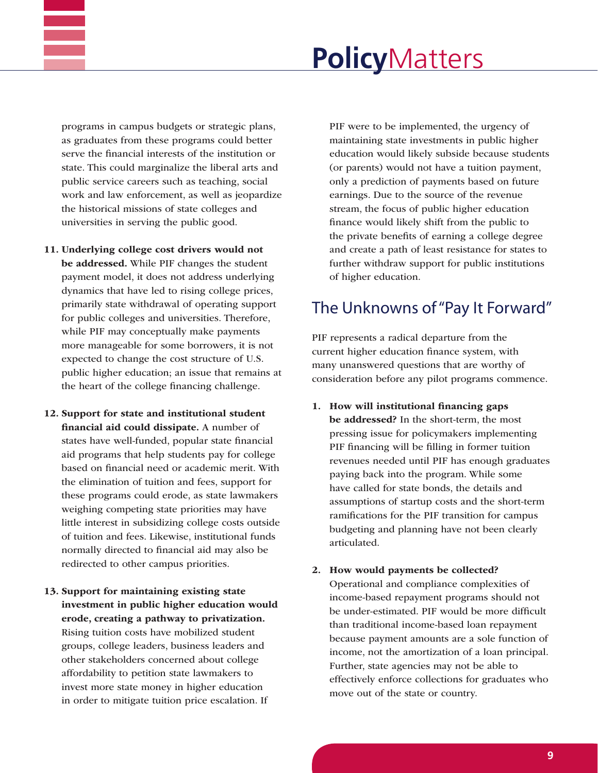

programs in campus budgets or strategic plans, as graduates from these programs could better serve the financial interests of the institution or state. This could marginalize the liberal arts and public service careers such as teaching, social work and law enforcement, as well as jeopardize the historical missions of state colleges and universities in serving the public good.

- 11. Underlying college cost drivers would not be addressed. While PIF changes the student payment model, it does not address underlying dynamics that have led to rising college prices, primarily state withdrawal of operating support for public colleges and universities. Therefore, while PIF may conceptually make payments more manageable for some borrowers, it is not expected to change the cost structure of U.S. public higher education; an issue that remains at the heart of the college financing challenge.
- 12. Support for state and institutional student financial aid could dissipate. A number of states have well-funded, popular state financial aid programs that help students pay for college based on financial need or academic merit. With the elimination of tuition and fees, support for these programs could erode, as state lawmakers weighing competing state priorities may have little interest in subsidizing college costs outside of tuition and fees. Likewise, institutional funds normally directed to financial aid may also be redirected to other campus priorities.
- 13. Support for maintaining existing state investment in public higher education would erode, creating a pathway to privatization. Rising tuition costs have mobilized student groups, college leaders, business leaders and other stakeholders concerned about college affordability to petition state lawmakers to invest more state money in higher education in order to mitigate tuition price escalation. If

PIF were to be implemented, the urgency of maintaining state investments in public higher education would likely subside because students (or parents) would not have a tuition payment, only a prediction of payments based on future earnings. Due to the source of the revenue stream, the focus of public higher education finance would likely shift from the public to the private benefits of earning a college degree and create a path of least resistance for states to further withdraw support for public institutions of higher education.

## The Unknowns of "Pay It Forward"

PIF represents a radical departure from the current higher education finance system, with many unanswered questions that are worthy of consideration before any pilot programs commence.

- 1. How will institutional financing gaps be addressed? In the short-term, the most pressing issue for policymakers implementing PIF financing will be filling in former tuition revenues needed until PIF has enough graduates paying back into the program. While some have called for state bonds, the details and assumptions of startup costs and the short-term ramifications for the PIF transition for campus budgeting and planning have not been clearly articulated.
- 2. How would payments be collected?

Operational and compliance complexities of income-based repayment programs should not be under-estimated. PIF would be more difficult than traditional income-based loan repayment because payment amounts are a sole function of income, not the amortization of a loan principal. Further, state agencies may not be able to effectively enforce collections for graduates who move out of the state or country.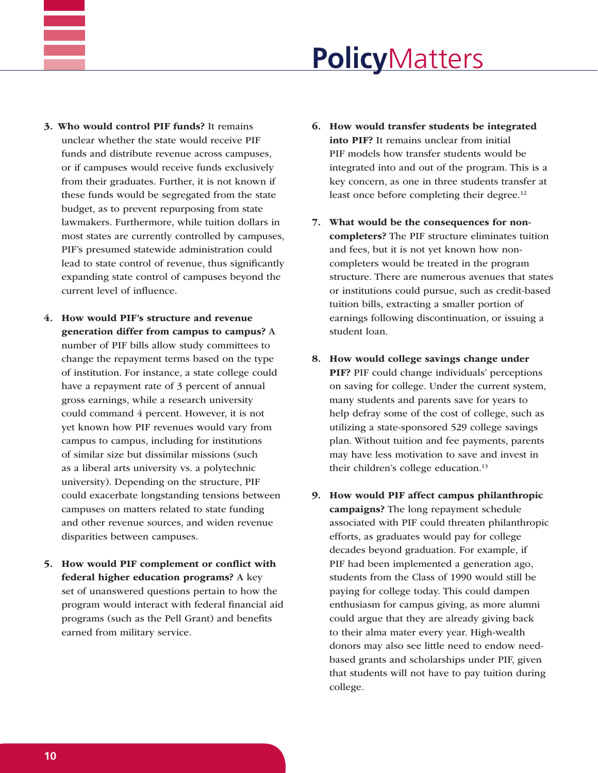- 3. Who would control PIF funds? It remains unclear whether the state would receive PIF funds and distribute revenue across campuses, or if campuses would receive funds exclusively from their graduates. Further, it is not known if these funds would be segregated from the state budget, as to prevent repurposing from state lawmakers. Furthermore, while tuition dollars in most states are currently controlled by campuses, PIF's presumed statewide administration could lead to state control of revenue, thus significantly expanding state control of campuses beyond the current level of influence.
- 4. How would PIF's structure and revenue generation differ from campus to campus? A number of PIF bills allow study committees to change the repayment terms based on the type of institution. For instance, a state college could have a repayment rate of 3 percent of annual gross earnings, while a research university could command 4 percent. However, it is not yet known how PIF revenues would vary from campus to campus, including for institutions of similar size but dissimilar missions (such as a liberal arts university vs. a polytechnic university). Depending on the structure, PIF could exacerbate longstanding tensions between campuses on matters related to state funding and other revenue sources, and widen revenue disparities between campuses.
- 5. How would PIF complement or conflict with federal higher education programs? A key set of unanswered questions pertain to how the program would interact with federal financial aid programs (such as the Pell Grant) and benefits earned from military service.
- 6. How would transfer students be integrated into PIF? It remains unclear from initial PIF models how transfer students would be integrated into and out of the program. This is a key concern, as one in three students transfer at least once before completing their degree.<sup>12</sup>
- 7. What would be the consequences for noncompleters? The PIF structure eliminates tuition and fees, but it is not yet known how noncompleters would be treated in the program structure. There are numerous avenues that states or institutions could pursue, such as credit-based tuition bills, extracting a smaller portion of earnings following discontinuation, or issuing a student loan.
- 8. How would college savings change under PIF? PIF could change individuals' perceptions on saving for college. Under the current system, many students and parents save for years to help defray some of the cost of college, such as utilizing a state-sponsored 529 college savings plan. Without tuition and fee payments, parents may have less motivation to save and invest in their children's college education.<sup>13</sup>
- 9. How would PIF affect campus philanthropic campaigns? The long repayment schedule associated with PIF could threaten philanthropic efforts, as graduates would pay for college decades beyond graduation. For example, if PIF had been implemented a generation ago, students from the Class of 1990 would still be paying for college today. This could dampen enthusiasm for campus giving, as more alumni could argue that they are already giving back to their alma mater every year. High-wealth donors may also see little need to endow needbased grants and scholarships under PIF, given that students will not have to pay tuition during college.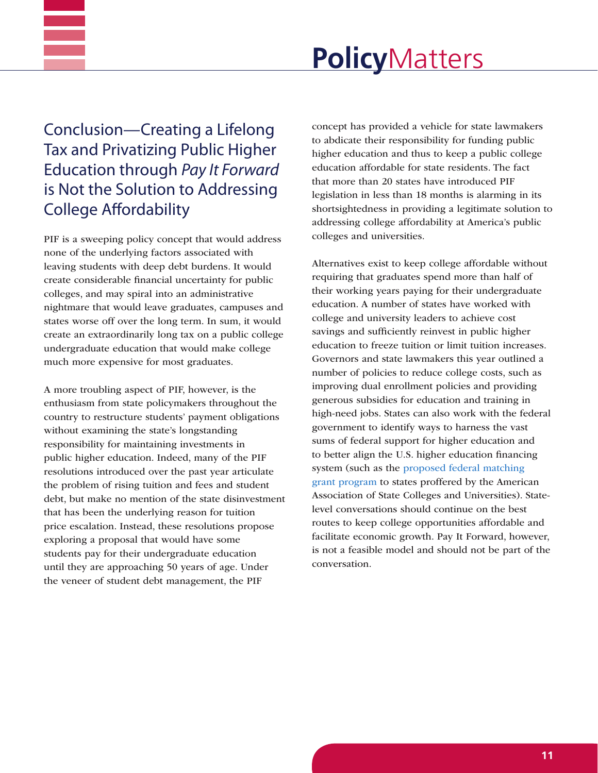

Conclusion—Creating a Lifelong Tax and Privatizing Public Higher Education through *Pay It Forward* is Not the Solution to Addressing College Affordability

PIF is a sweeping policy concept that would address none of the underlying factors associated with leaving students with deep debt burdens. It would create considerable financial uncertainty for public colleges, and may spiral into an administrative nightmare that would leave graduates, campuses and states worse off over the long term. In sum, it would create an extraordinarily long tax on a public college undergraduate education that would make college much more expensive for most graduates.

A more troubling aspect of PIF, however, is the enthusiasm from state policymakers throughout the country to restructure students' payment obligations without examining the state's longstanding responsibility for maintaining investments in public higher education. Indeed, many of the PIF resolutions introduced over the past year articulate the problem of rising tuition and fees and student debt, but make no mention of the state disinvestment that has been the underlying reason for tuition price escalation. Instead, these resolutions propose exploring a proposal that would have some students pay for their undergraduate education until they are approaching 50 years of age. Under the veneer of student debt management, the PIF

concept has provided a vehicle for state lawmakers to abdicate their responsibility for funding public higher education and thus to keep a public college education affordable for state residents. The fact that more than 20 states have introduced PIF legislation in less than 18 months is alarming in its shortsightedness in providing a legitimate solution to addressing college affordability at America's public colleges and universities.

Alternatives exist to keep college affordable without requiring that graduates spend more than half of their working years paying for their undergraduate education. A number of states have worked with college and university leaders to achieve cost savings and sufficiently reinvest in public higher education to freeze tuition or limit tuition increases. Governors and state lawmakers this year outlined a number of policies to reduce college costs, such as improving dual enrollment policies and providing generous subsidies for education and training in high-need jobs. States can also work with the federal government to identify ways to harness the vast sums of federal support for higher education and to better align the U.S. higher education financing system (such as the [proposed federal matching](http://www.aascu.org/policy/publications/policy-matters/federalmatchingprogram.pdf)  [grant program](http://www.aascu.org/policy/publications/policy-matters/federalmatchingprogram.pdf) to states proffered by the American Association of State Colleges and Universities). Statelevel conversations should continue on the best routes to keep college opportunities affordable and facilitate economic growth. Pay It Forward, however, is not a feasible model and should not be part of the conversation.